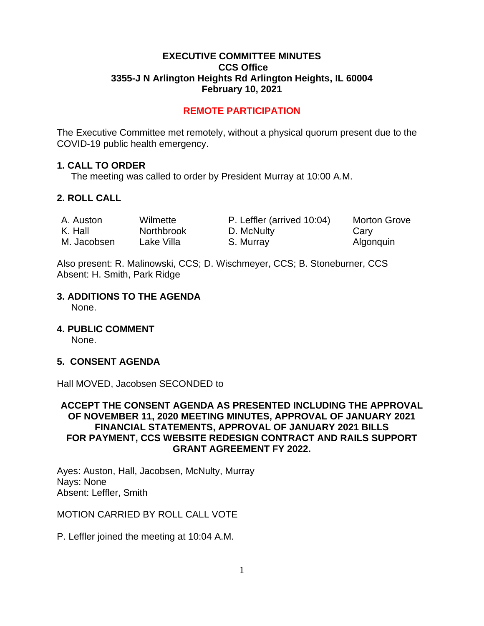### **EXECUTIVE COMMITTEE MINUTES CCS Office 3355-J N Arlington Heights Rd Arlington Heights, IL 60004 February 10, 2021**

# **REMOTE PARTICIPATION**

The Executive Committee met remotely, without a physical quorum present due to the COVID-19 public health emergency.

#### **1. CALL TO ORDER**

The meeting was called to order by President Murray at 10:00 A.M.

# **2. ROLL CALL**

| A. Auston   | Wilmette          | P. Leffler (arrived 10:04) | <b>Morton Grove</b> |
|-------------|-------------------|----------------------------|---------------------|
| K. Hall     | <b>Northbrook</b> | D. McNulty                 | Cary                |
| M. Jacobsen | Lake Villa        | S. Murray                  | Algonquin           |

Also present: R. Malinowski, CCS; D. Wischmeyer, CCS; B. Stoneburner, CCS Absent: H. Smith, Park Ridge

# **3. ADDITIONS TO THE AGENDA**

None.

**4. PUBLIC COMMENT** 

None.

# **5. CONSENT AGENDA**

Hall MOVED, Jacobsen SECONDED to

### **ACCEPT THE CONSENT AGENDA AS PRESENTED INCLUDING THE APPROVAL OF NOVEMBER 11, 2020 MEETING MINUTES, APPROVAL OF JANUARY 2021 FINANCIAL STATEMENTS, APPROVAL OF JANUARY 2021 BILLS FOR PAYMENT, CCS WEBSITE REDESIGN CONTRACT AND RAILS SUPPORT GRANT AGREEMENT FY 2022.**

Ayes: Auston, Hall, Jacobsen, McNulty, Murray Nays: None Absent: Leffler, Smith

MOTION CARRIED BY ROLL CALL VOTE

P. Leffler joined the meeting at 10:04 A.M.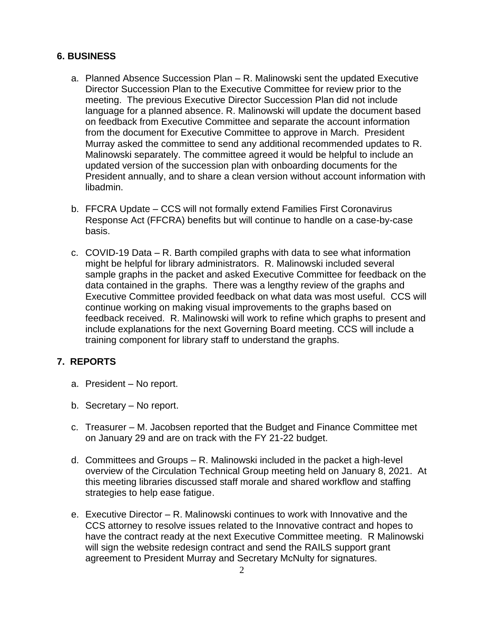# **6. BUSINESS**

- a. Planned Absence Succession Plan R. Malinowski sent the updated Executive Director Succession Plan to the Executive Committee for review prior to the meeting. The previous Executive Director Succession Plan did not include language for a planned absence. R. Malinowski will update the document based on feedback from Executive Committee and separate the account information from the document for Executive Committee to approve in March. President Murray asked the committee to send any additional recommended updates to R. Malinowski separately. The committee agreed it would be helpful to include an updated version of the succession plan with onboarding documents for the President annually, and to share a clean version without account information with libadmin.
- b. FFCRA Update CCS will not formally extend Families First Coronavirus Response Act (FFCRA) benefits but will continue to handle on a case-by-case basis.
- c. COVID-19 Data R. Barth compiled graphs with data to see what information might be helpful for library administrators. R. Malinowski included several sample graphs in the packet and asked Executive Committee for feedback on the data contained in the graphs. There was a lengthy review of the graphs and Executive Committee provided feedback on what data was most useful. CCS will continue working on making visual improvements to the graphs based on feedback received. R. Malinowski will work to refine which graphs to present and include explanations for the next Governing Board meeting. CCS will include a training component for library staff to understand the graphs.

# **7. REPORTS**

- a. President No report.
- b. Secretary No report.
- c. Treasurer M. Jacobsen reported that the Budget and Finance Committee met on January 29 and are on track with the FY 21-22 budget.
- d. Committees and Groups R. Malinowski included in the packet a high-level overview of the Circulation Technical Group meeting held on January 8, 2021. At this meeting libraries discussed staff morale and shared workflow and staffing strategies to help ease fatigue.
- e. Executive Director R. Malinowski continues to work with Innovative and the CCS attorney to resolve issues related to the Innovative contract and hopes to have the contract ready at the next Executive Committee meeting. R Malinowski will sign the website redesign contract and send the RAILS support grant agreement to President Murray and Secretary McNulty for signatures.